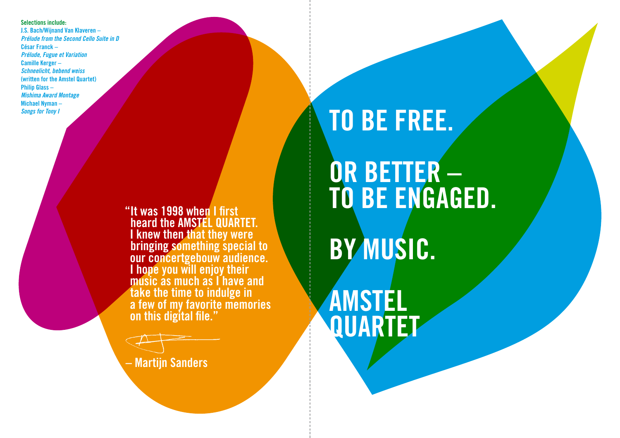**Selections include: J.S. Bach/Wijnand Van Klaveren –**  *Prélude from the Second Cello Suite in D* **César Franck –**  *Prélude, Fugue et Variation* **Camille Kerger –**  *Schneelicht, bebend weiss* **(written for the Amstel Quartet) Philip Glass –**  *Mishima Award Montage* **Michael Nyman –** *Songs for Tony I*

> **"It was 1998 when I first heard the AMSTEL QUARTET. I knew then that they were bringing something special to our concertgebouw audience. I hope you will enjoy their music as much as I have and take the time to indulge in a few of my favorite memories on this digital file."**

**– Martijn Sanders**

## **TO BE FREE.**

## **OR BETTER – TO BE ENGAGED.**

## **BY MUSIC.**

**AMSTEL QUARTET**